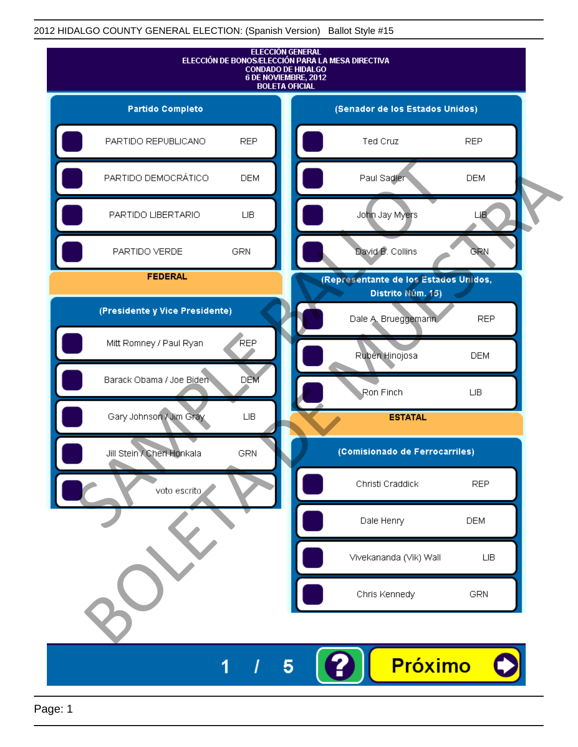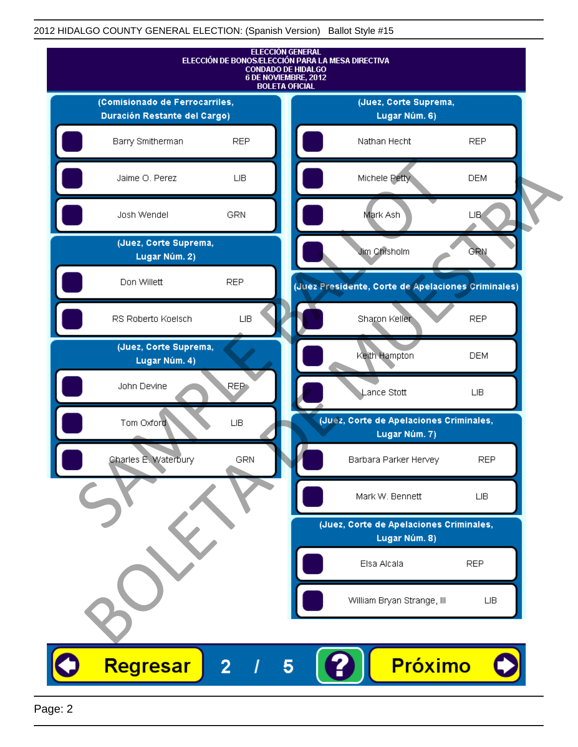

Page: 2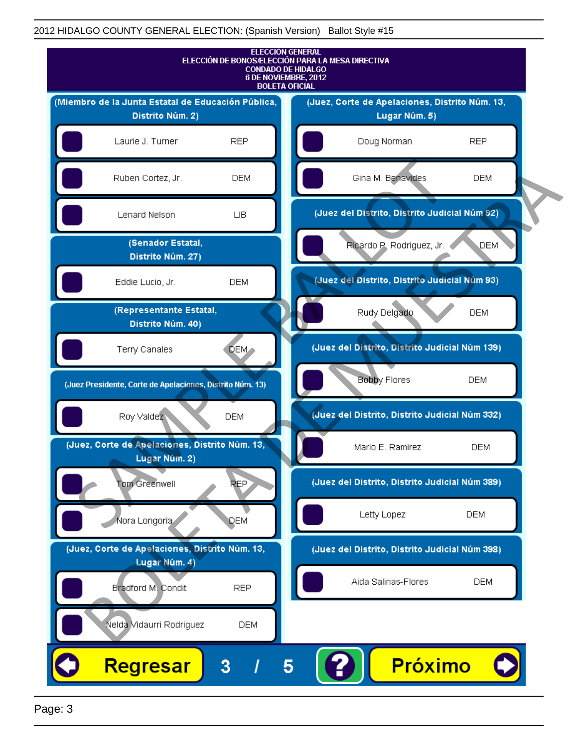

Page: 3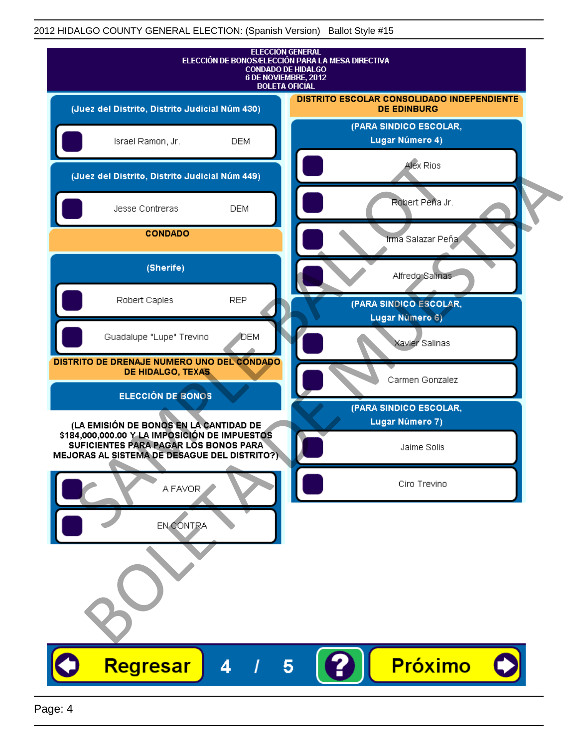| <b>ELECCIÓN GENERAL</b><br>ELECCIÓN DE BONOS/ELECCIÓN PARA LA MESA DIRECTIVA<br><b>CONDADO DE HIDALGO</b><br>6 DE NOVIEMBRE, 2012<br><b>BOLETA OFICIAL</b> |                                                                  |
|------------------------------------------------------------------------------------------------------------------------------------------------------------|------------------------------------------------------------------|
| (Juez del Distrito, Distrito Judicial Núm 430)                                                                                                             | DISTRITO ESCOLAR CONSOLIDADO INDEPENDIENTE<br><b>DE EDINBURG</b> |
| Israel Ramon, Jr.<br><b>DEM</b>                                                                                                                            | (PARA SINDICO ESCOLAR,<br>Lugar Número 4)                        |
| (Juez del Distrito, Distrito Judicial Núm 449)                                                                                                             | Alex Rios                                                        |
| Jesse Contreras<br><b>DEM</b>                                                                                                                              | Robert Peña Jr.                                                  |
| <b>CONDADO</b>                                                                                                                                             | Irma Salazar Peña                                                |
| (Sherife)                                                                                                                                                  | Alfredo Salinas                                                  |
| <b>REP</b><br>Robert Caples                                                                                                                                | (PARA SINDICO ESCOLAR,<br>Lugar Número 6)                        |
| Guadalupe "Lupe" Trevino<br>DEM                                                                                                                            | Xavier Salinas                                                   |
| DISTRITO DE DRENAJE NUMERO UNO DEL CONDADO<br>DE HIDALGO, TEXAS                                                                                            | Carmen Gonzalez                                                  |
| ELECCIÓN DE BONOS                                                                                                                                          | (PARA SINDICO ESCOLAR,                                           |
| (LA EMISIÓN DE BONOS EN LA CANTIDAD DE<br>\$184,000,000.00 Y LA IMPOSICIÓN DE IMPUESTOS                                                                    | Lugar Número 7)                                                  |
| SUFICIENTES PARA PAGAR LOS BONOS PARA<br>MEJORAS AL SISTEMA DE DESAGUE DEL DISTRITO?)                                                                      | Jaime Solis                                                      |
| A FAVOR                                                                                                                                                    | Ciro Trevino                                                     |
| EN CONTRA                                                                                                                                                  |                                                                  |
|                                                                                                                                                            |                                                                  |
|                                                                                                                                                            |                                                                  |
| Regresar<br>4                                                                                                                                              | Próximo<br>5                                                     |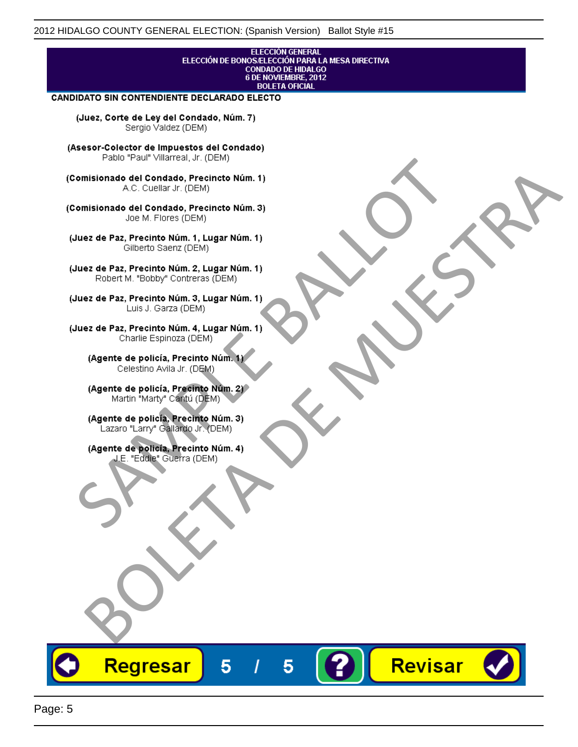#### **ELECCIÓN GENERAL** ELECCIÓN DE BONOS/ELECCIÓN PARA LA MESA DIRECTIVA CONDADO DE HIDALGO<br>6 DE NOVIEMBRE, 2012 **BOLETA OFICIAL**

Revisar

#### CANDIDATO SIN CONTENDIENTE DECLARADO ELECTO

(Juez, Corte de Ley del Condado, Núm. 7) Sergio Valdez (DEM)

(Asesor-Colector de Impuestos del Condado)

Fallo Fall Willdrea, J.I. (DEM)<br>
Consistionado el Condado, Precincto Núm. 1)<br>
A.C. Cuellar Jr. (DEM)<br>
Ullez de Paz, Precinto Núm. 1)<br>
Juez de Paz, Precinto Núm. 1, Lugar Núm. 1)<br>
Gilberto Sentr (DEM)<br>
Robert M. "Bobby" Con misionado del Condiado, Precincto Núm. 1)<br>
Andro del Condiado, Precincto Núm. 3)<br>
ez de Paz, Precinto Núm. 21<br>
algo M. Picer Lo Saerz, (CIEM)<br>
algo M. Picer Lo Saerz, (CIEM)<br>
algo M. Picer Lo Saerz, (CIEM)<br>
ez de Paz, Prec

Regresar

5

5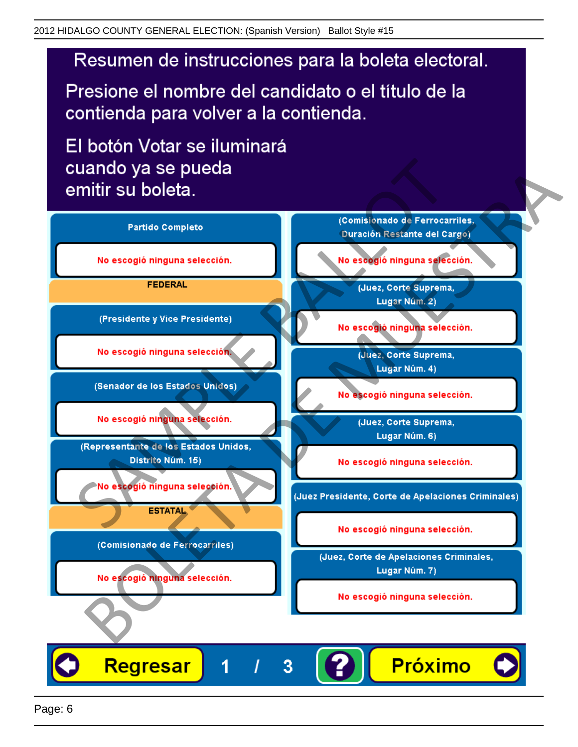# Resumen de instrucciones para la boleta electoral.

Presione el nombre del candidato o el título de la contienda para volver a la contienda.

El botón Votar se iluminará

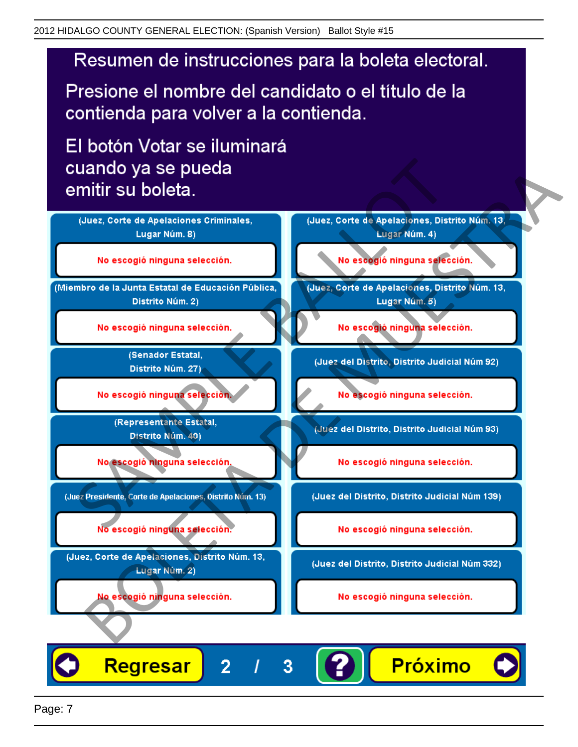# Resumen de instrucciones para la boleta electoral.

Presione el nombre del candidato o el título de la contienda para volver a la contienda.

El botón Votar se iluminará